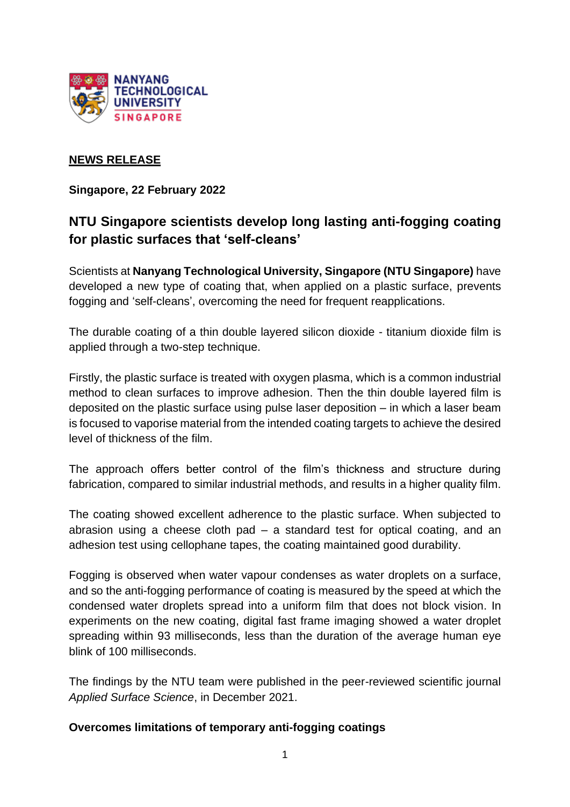

## **NEWS RELEASE**

**Singapore, 22 February 2022**

# **NTU Singapore scientists develop long lasting anti-fogging coating for plastic surfaces that 'self-cleans'**

Scientists at **Nanyang Technological University, Singapore (NTU Singapore)** have developed a new type of coating that, when applied on a plastic surface, prevents fogging and 'self-cleans', overcoming the need for frequent reapplications.

The durable coating of a thin double layered silicon dioxide - titanium dioxide film is applied through a two-step technique.

Firstly, the plastic surface is treated with oxygen plasma, which is a common industrial method to clean surfaces to improve adhesion. Then the thin double layered film is deposited on the plastic surface using pulse laser deposition – in which a laser beam is focused to vaporise material from the intended coating targets to achieve the desired level of thickness of the film.

The approach offers better control of the film's thickness and structure during fabrication, compared to similar industrial methods, and results in a higher quality film.

The coating showed excellent adherence to the plastic surface. When subjected to abrasion using a cheese cloth pad – a standard test for optical coating, and an adhesion test using cellophane tapes, the coating maintained good durability.

Fogging is observed when water vapour condenses as water droplets on a surface, and so the anti-fogging performance of coating is measured by the speed at which the condensed water droplets spread into a uniform film that does not block vision. In experiments on the new coating, digital fast frame imaging showed a water droplet spreading within 93 milliseconds, less than the duration of the average human eye blink of 100 milliseconds.

The findings by the NTU team were published in the peer-reviewed scientific journal *Applied Surface Science*, in December 2021.

#### **Overcomes limitations of temporary anti-fogging coatings**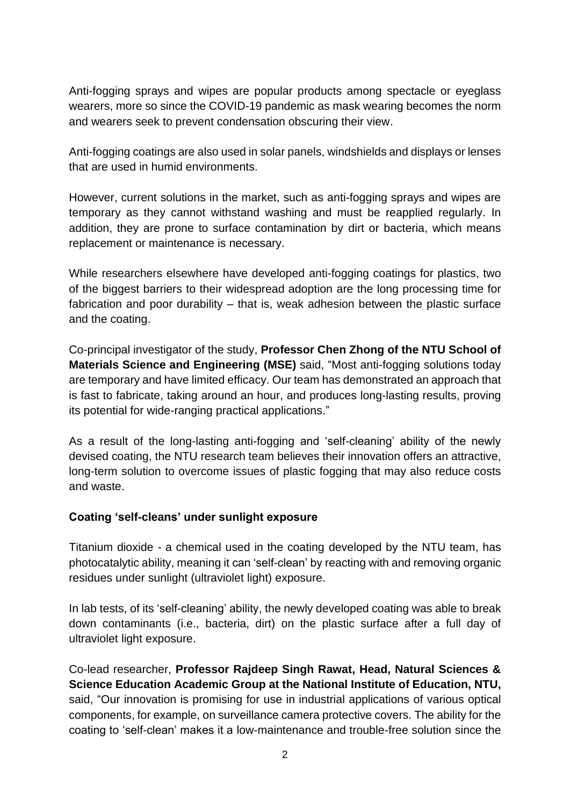Anti-fogging sprays and wipes are popular products among spectacle or eyeglass wearers, more so since the COVID-19 pandemic as mask wearing becomes the norm and wearers seek to prevent condensation obscuring their view.

Anti-fogging coatings are also used in solar panels, windshields and displays or lenses that are used in humid environments.

However, current solutions in the market, such as anti-fogging sprays and wipes are temporary as they cannot withstand washing and must be reapplied regularly. In addition, they are prone to surface contamination by dirt or bacteria, which means replacement or maintenance is necessary.

While researchers elsewhere have developed anti-fogging coatings for plastics, two of the biggest barriers to their widespread adoption are the long processing time for fabrication and poor durability – that is, weak adhesion between the plastic surface and the coating.

Co-principal investigator of the study, **Professor Chen Zhong of the NTU School of Materials Science and Engineering (MSE)** said, "Most anti-fogging solutions today are temporary and have limited efficacy. Our team has demonstrated an approach that is fast to fabricate, taking around an hour, and produces long-lasting results, proving its potential for wide-ranging practical applications."

As a result of the long-lasting anti-fogging and 'self-cleaning' ability of the newly devised coating, the NTU research team believes their innovation offers an attractive, long-term solution to overcome issues of plastic fogging that may also reduce costs and waste.

## **Coating 'self-cleans' under sunlight exposure**

Titanium dioxide - a chemical used in the coating developed by the NTU team, has photocatalytic ability, meaning it can 'self-clean' by reacting with and removing organic residues under sunlight (ultraviolet light) exposure.

In lab tests, of its 'self-cleaning' ability, the newly developed coating was able to break down contaminants (i.e., bacteria, dirt) on the plastic surface after a full day of ultraviolet light exposure.

Co-lead researcher, **Professor Rajdeep Singh Rawat, Head, Natural Sciences & Science Education Academic Group at the National Institute of Education, NTU,**  said, "Our innovation is promising for use in industrial applications of various optical components, for example, on surveillance camera protective covers. The ability for the coating to 'self-clean' makes it a low-maintenance and trouble-free solution since the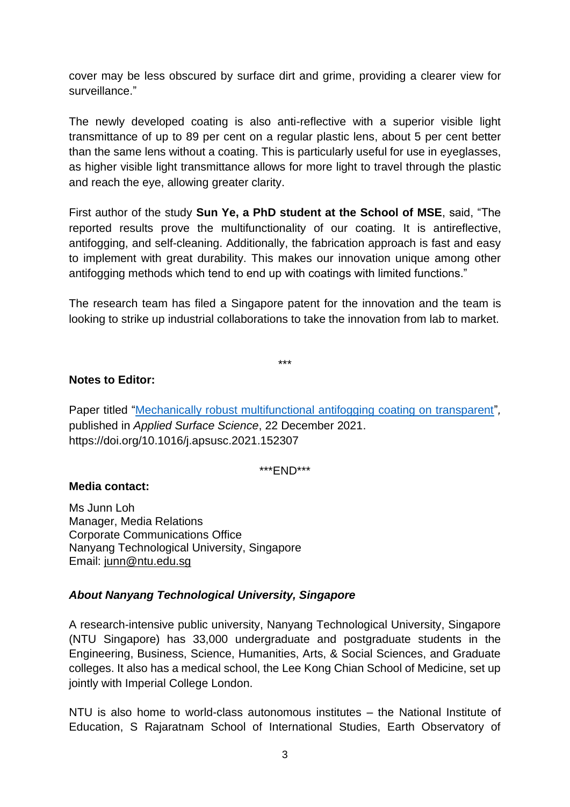cover may be less obscured by surface dirt and grime, providing a clearer view for surveillance."

The newly developed coating is also anti-reflective with a superior visible light transmittance of up to 89 per cent on a regular plastic lens, about 5 per cent better than the same lens without a coating. This is particularly useful for use in eyeglasses, as higher visible light transmittance allows for more light to travel through the plastic and reach the eye, allowing greater clarity.

First author of the study **Sun Ye, a PhD student at the School of MSE**, said, "The reported results prove the multifunctionality of our coating. It is antireflective, antifogging, and self-cleaning. Additionally, the fabrication approach is fast and easy to implement with great durability. This makes our innovation unique among other antifogging methods which tend to end up with coatings with limited functions."

The research team has filed a Singapore patent for the innovation and the team is looking to strike up industrial collaborations to take the innovation from lab to market.

\*\*\*

#### **Notes to Editor:**

Paper titled ["Mechanically robust multifunctional antifogging coating on transparent"](https://www.sciencedirect.com/science/article/abs/pii/S0169433221033304?via%3Dihub)*,*  published in *Applied Surface Science*, 22 December 2021. https://doi.org/10.1016/j.apsusc.2021.152307

\*\*\*END\*\*\*

#### **Media contact:**

Ms Junn Loh Manager, Media Relations Corporate Communications Office Nanyang Technological University, Singapore Email: [junn@ntu.edu.sg](mailto:junn@ntu.edu.sg)

## *About Nanyang Technological University, Singapore*

A research-intensive public university, Nanyang Technological University, Singapore (NTU Singapore) has 33,000 undergraduate and postgraduate students in the Engineering, Business, Science, Humanities, Arts, & Social Sciences, and Graduate colleges. It also has a medical school, the Lee Kong Chian School of Medicine, set up jointly with Imperial College London.

NTU is also home to world-class autonomous institutes – the National Institute of Education, S Rajaratnam School of International Studies, Earth Observatory of